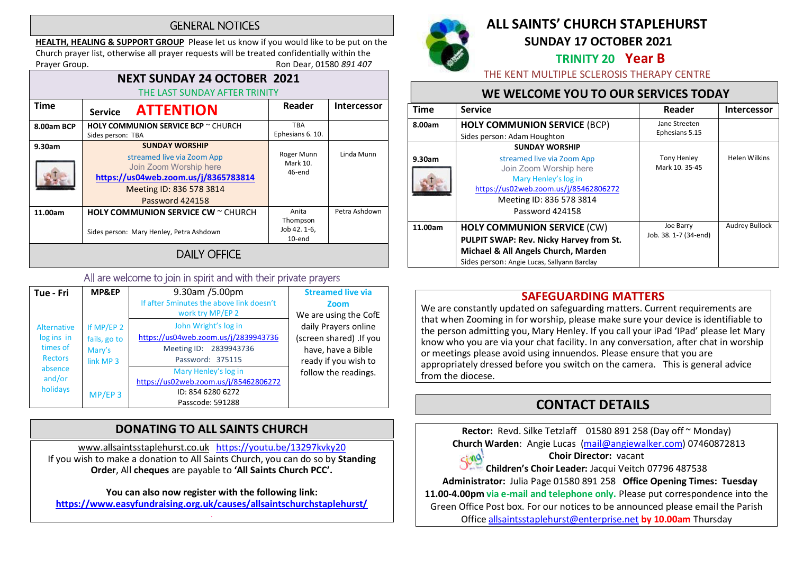## **GENERAL NOTICES**

HEALTH, HEALING & SUPPORT GROUP Please let us know if you would like to be put on the Church prayer list, otherwise all prayer requests will be treated confidentially within the Prayer Group. **Ron Dear, 01580 891 407** 

| <b>NEXT SUNDAY 24 OCTOBER 2021</b><br>THE LAST SUNDAY AFTER TRINITY |                                                                                                                                                                      |                                             |                    |  |
|---------------------------------------------------------------------|----------------------------------------------------------------------------------------------------------------------------------------------------------------------|---------------------------------------------|--------------------|--|
| <b>Time</b>                                                         | <b>ATTENTION</b><br><b>Service</b>                                                                                                                                   | Reader                                      | <b>Intercessor</b> |  |
| 8.00am BCP                                                          | <b>HOLY COMMUNION SERVICE BCP</b> ~ CHURCH<br>Sides person: TBA                                                                                                      | <b>TBA</b><br>Ephesians 6. 10.              |                    |  |
| 9.30am                                                              | <b>SUNDAY WORSHIP</b><br>streamed live via Zoom App<br>Join Zoom Worship here<br>https://us04web.zoom.us/j/8365783814<br>Meeting ID: 836 578 3814<br>Password 424158 | Roger Munn<br>Mark 10.<br>46-end            | Linda Munn         |  |
| 11.00am                                                             | <b>HOLY COMMUNION SERVICE CW</b> $\sim$ CHURCH<br>Sides person: Mary Henley, Petra Ashdown                                                                           | Anita<br>Thompson<br>Job 42. 1-6,<br>10-end | Petra Ashdown      |  |
| <b>DAILY OFFICE</b>                                                 |                                                                                                                                                                      |                                             |                    |  |

#### All are welcome to join in spirit and with their private prayers

| Tue - Fri                                                                                       | MP&EP                                                                     | 9.30am /5.00pm<br>If after 5 minutes the above link doesn't<br>work try MP/EP 2                            | <b>Streamed live via</b><br>Zoom<br>We are using the CofE                                     |
|-------------------------------------------------------------------------------------------------|---------------------------------------------------------------------------|------------------------------------------------------------------------------------------------------------|-----------------------------------------------------------------------------------------------|
| <b>Alternative</b><br>log ins in<br>times of<br><b>Rectors</b><br>absence<br>and/or<br>holidays | If MP/EP 2<br>fails, go to<br>Mary's<br>link MP <sub>3</sub><br>$MP/EP$ 3 | John Wright's log in<br>https://us04web.zoom.us/j/2839943736<br>Meeting ID: 2839943736<br>Password: 375115 | daily Prayers online<br>(screen shared) .If you<br>have, have a Bible<br>ready if you wish to |
|                                                                                                 |                                                                           | Mary Henley's log in<br>https://us02web.zoom.us/j/85462806272<br>ID: 854 6280 6272<br>Passcode: 591288     | follow the readings.                                                                          |

# DONATING TO ALL SAINTS CHURCH

www.allsaintsstaplehurst.co.uk https://youtu.be/13297kvky20 If you wish to make a donation to All Saints Church, you can do so by Standing Order, All cheques are payable to 'All Saints Church PCC'.

You can also now register with the following link: https://www.easyfundraising.org.uk/causes/allsaintschurchstaplehurst/ .



# ALL SAINTS' CHURCH STAPLEHURST SUNDAY 17 OCTOBER 2021

# TRINITY 20 Year B

THE KENT MULTIPLE SCLEROSIS THERAPY CENTRE

# WE WELCOME YOU TO OUR SERVICES TODAY

| <b>Time</b> | <b>Service</b>                                                                                                                                                                                | Reader                               | <b>Intercessor</b>    |
|-------------|-----------------------------------------------------------------------------------------------------------------------------------------------------------------------------------------------|--------------------------------------|-----------------------|
| 8.00am      | <b>HOLY COMMUNION SERVICE (BCP)</b>                                                                                                                                                           | Jane Streeten<br>Ephesians 5.15      |                       |
|             | Sides person: Adam Houghton                                                                                                                                                                   |                                      |                       |
| 9.30am      | <b>SUNDAY WORSHIP</b><br>streamed live via Zoom App<br>Join Zoom Worship here<br>Mary Henley's log in<br>https://us02web.zoom.us/j/85462806272<br>Meeting ID: 836 578 3814<br>Password 424158 | <b>Tony Henley</b><br>Mark 10, 35-45 | <b>Helen Wilkins</b>  |
| 11.00am     | <b>HOLY COMMUNION SERVICE (CW)</b><br><b>PULPIT SWAP: Rev. Nicky Harvey from St.</b><br>Michael & All Angels Church, Marden<br>Sides person: Angie Lucas, Sallyann Barclay                    | Joe Barry<br>Job. 38. 1-7 (34-end)   | <b>Audrey Bullock</b> |

# SAFEGUARDING MATTERS

We are constantly updated on safeguarding matters. Current requirements are that when Zooming in for worship, please make sure your device is identifiable to the person admitting you, Mary Henley. If you call your iPad 'IPad' please let Mary know who you are via your chat facility. In any conversation, after chat in worship or meetings please avoid using innuendos. Please ensure that you are appropriately dressed before you switch on the camera. This is general advice from the diocese.

# CONTACT DETAILS

Rector: Revd. Silke Tetzlaff 01580 891 258 (Day off ~ Monday) Church Warden: Angie Lucas (mail@angiewalker.com) 07460872813 Choir Director: vacant Sing Children's Choir Leader: Jacqui Veitch 07796 487538 Administrator: Julia Page 01580 891 258 Office Opening Times: Tuesday 11.00-4.00pm via e-mail and telephone only. Please put correspondence into the Green Office Post box. For our notices to be announced please email the Parish Office allsaintsstaplehurst@enterprise.net by 10.00am Thursday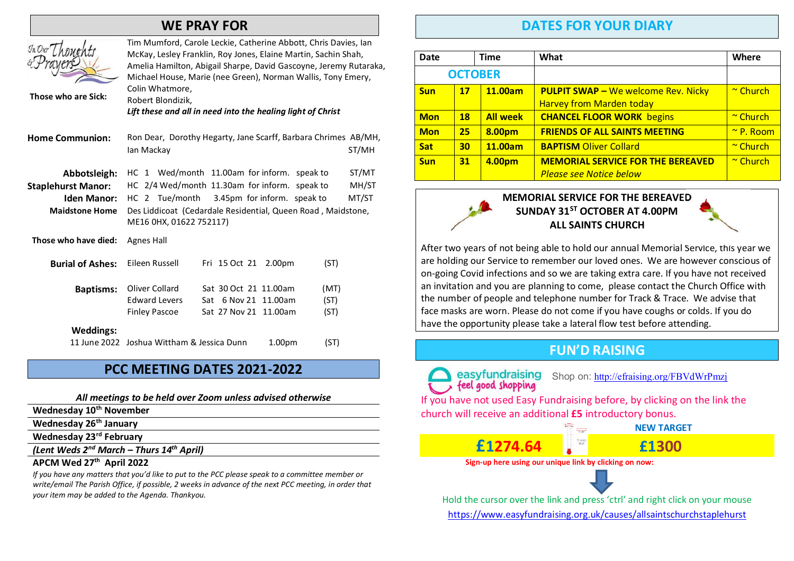# WE PRAY FOR

| Those who are Sick:                                                                      | Tim Mumford, Carole Leckie, Catherine Abbott, Chris Davies, Ian<br>McKay, Lesley Franklin, Roy Jones, Elaine Martin, Sachin Shah,<br>Amelia Hamilton, Abigail Sharpe, David Gascoyne, Jeremy Rutaraka,<br>Michael House, Marie (nee Green), Norman Wallis, Tony Emery,<br>Colin Whatmore,<br>Robert Blondizik,<br>Lift these and all in need into the healing light of Christ |                      |                         |
|------------------------------------------------------------------------------------------|-------------------------------------------------------------------------------------------------------------------------------------------------------------------------------------------------------------------------------------------------------------------------------------------------------------------------------------------------------------------------------|----------------------|-------------------------|
| <b>Home Communion:</b>                                                                   | Ron Dear, Dorothy Hegarty, Jane Scarff, Barbara Chrimes AB/MH,<br>lan Mackay                                                                                                                                                                                                                                                                                                  |                      | ST/MH                   |
| Abbotsleigh:<br><b>Staplehurst Manor:</b><br><b>Iden Manor:</b><br><b>Maidstone Home</b> | HC 1 Wed/month 11.00am for inform. speak to<br>HC 2/4 Wed/month 11.30am for inform. speak to<br>HC 2 Tue/month<br>3.45pm for inform. speak to<br>Des Liddicoat (Cedardale Residential, Queen Road, Maidstone,<br>ME16 0HX, 01622 752117)                                                                                                                                      |                      | ST/MT<br>MH/ST<br>MT/ST |
| Those who have died:                                                                     | <b>Agnes Hall</b>                                                                                                                                                                                                                                                                                                                                                             |                      |                         |
| <b>Burial of Ashes:</b>                                                                  | Eileen Russell<br>Fri 15 Oct 21<br>2.00 <sub>pm</sub>                                                                                                                                                                                                                                                                                                                         | (ST)                 |                         |
| <b>Baptisms:</b>                                                                         | Oliver Collard<br>Sat 30 Oct 21 11.00am<br><b>Edward Levers</b><br>Sat 6 Nov 21 11.00am<br><b>Finley Pascoe</b><br>Sat 27 Nov 21 11.00am                                                                                                                                                                                                                                      | (MT)<br>(ST)<br>(ST) |                         |
| <b>Weddings:</b>                                                                         | 11 June 2022 Joshua Wittham & Jessica Dunn<br>1.00 <sub>pm</sub>                                                                                                                                                                                                                                                                                                              | (ST)                 |                         |

### PCC MEETING DATES 2021-2022

#### All meetings to be held over Zoom unless advised otherwise

- Wednesday 10<sup>th</sup> November
- Wednesday 26<sup>th</sup> January

Wednesday 23rd February

(Lent Weds  $2^{nd}$  March – Thurs  $14^{th}$  April)

#### APCM Wed 27th April 2022

If you have any matters that you'd like to put to the PCC please speak to a committee member or write/email The Parish Office, if possible, 2 weeks in advance of the next PCC meeting, in order that your item may be added to the Agenda. Thankyou.

# DATES FOR YOUR DIARY

| <b>Date</b> |           | <b>Time</b>     | What                                                                          | Where             |
|-------------|-----------|-----------------|-------------------------------------------------------------------------------|-------------------|
|             |           | <b>OCTOBER</b>  |                                                                               |                   |
| <b>Sun</b>  | 17        | 11.00am         | <b>PULPIT SWAP - We welcome Rev. Nicky</b><br><b>Harvey from Marden today</b> | $\sim$ Church     |
| <b>Mon</b>  | <b>18</b> | <b>All week</b> | <b>CHANCEL FLOOR WORK begins</b>                                              | ~ Church          |
| <b>Mon</b>  | 25        | 8.00pm          | <b>FRIENDS OF ALL SAINTS MEETING</b>                                          | $^{\sim}$ P. Room |
| <b>Sat</b>  | 30        | 11.00am         | <b>BAPTISM Oliver Collard</b>                                                 | $\sim$ Church     |
| <b>Sun</b>  | 31        | 4.00pm          | <b>MEMORIAL SERVICE FOR THE BEREAVED</b><br><b>Please see Notice below</b>    | $\sim$ Church     |



After two years of not being able to hold our annual Memorial Service, this year we are holding our Service to remember our loved ones. We are however conscious of on-going Covid infections and so we are taking extra care. If you have not received an invitation and you are planning to come, please contact the Church Office with the number of people and telephone number for Track & Trace. We advise that face masks are worn. Please do not come if you have coughs or colds. If you do have the opportunity please take a lateral flow test before attending.

# FUN'D RAISING

easyfundraising Shop on: http://efraising.org/FBVdWrPmzj

If you have not used Easy Fundraising before, by clicking on the link the church will receive an additional £5 introductory bonus.





Hold the cursor over the link and press 'ctrl' and right click on your mouse https://www.easyfundraising.org.uk/causes/allsaintschurchstaplehurst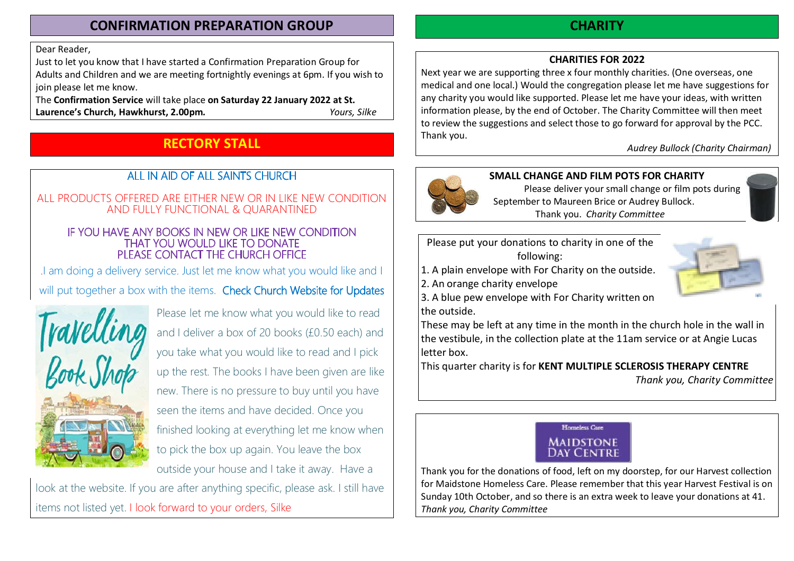# CONFIRMATION PREPARATION GROUP

Dear Reader,

Just to let you know that I have started a Confirmation Preparation Group for Adults and Children and we are meeting fortnightly evenings at 6pm. If you wish to join please let me know.

The Confirmation Service will take place on Saturday 22 January 2022 at St. Laurence's Church, Hawkhurst, 2.00pm. The Channel Cours, Silke

# RECTORY STALL

# ALL IN AID OF ALL SAINTS CHURCH

### ALL PRODUCTS OFFERED ARE EITHER NEW OR IN LIKE NEW CONDITION AND FULLY FUNCTIONAL & QUARANTINED

#### IF YOU HAVE ANY BOOKS IN NEW OR LIKE NEW CONDITION THAT YOU WOULD LIKE TO DONATE PLEASE CONTACT THE CHURCH OFFICE

.I am doing a delivery service. Just let me know what you would like and I will put together a box with the items. Check Church Website for Updates



Please let me know what you would like to read and I deliver a box of 20 books (£0.50 each) and you take what you would like to read and I pick up the rest. The books I have been given are like new. There is no pressure to buy until you have seen the items and have decided. Once you finished looking at everything let me know when to pick the box up again. You leave the box outside your house and I take it away. Have a

look at the website. If you are after anything specific, please ask. I still have items not listed yet. I look forward to your orders, Silke

# **CHARITY**

# CHARITIES FOR 2022

Next year we are supporting three x four monthly charities. (One overseas, one medical and one local.) Would the congregation please let me have suggestions for any charity you would like supported. Please let me have your ideas, with written information please, by the end of October. The Charity Committee will then meet to review the suggestions and select those to go forward for approval by the PCC. Thank you.

Audrey Bullock (Charity Chairman)



## SMALL CHANGE AND FILM POTS FOR CHARITY

 Please deliver your small change or film pots during September to Maureen Brice or Audrey Bullock. Thank you. Charity Committee

Please put your donations to charity in one of the following:

1. A plain envelope with For Charity on the outside.

2. An orange charity envelope



3. A blue pew envelope with For Charity written on the outside.

These may be left at any time in the month in the church hole in the wall in the vestibule, in the collection plate at the 11am service or at Angie Lucas letter box.

This quarter charity is for KENT MULTIPLE SCLEROSIS THERAPY CENTRE Thank you, Charity Committee



Thank you for the donations of food, left on my doorstep, for our Harvest collection for Maidstone Homeless Care. Please remember that this year Harvest Festival is on Sunday 10th October, and so there is an extra week to leave your donations at 41. Thank you, Charity Committee